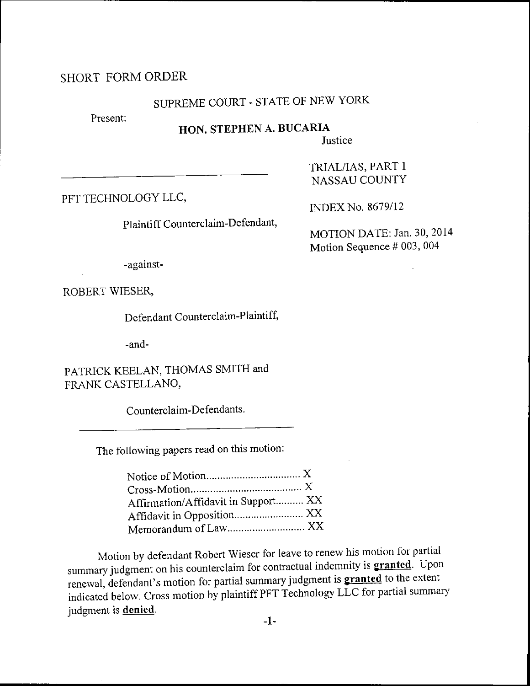### SHORT FORMORDER

# SUPREME COURT - STATE OF NEW YORK

Present:

### HON. STEPHEN A. BUCARIA

**Justice** 

PFT TECHNOLOGY LLC,

Plaintiff Counterclaim-Defendant,

INDEX No. 8679/12

TRIAL/IAS, PART 1 NASSAU COUNTY

MOTION DATE: Jan. 30, 2014 Motion Sequence # 003, 004

-against-

ROBERT WIESER,

Defendant Counterclaim-Plaintiff,

-and-

PATRICK KEELAN, THOMAS SMITH and FRANK CASTELLANO,

Counterclaim-Defendants.

The following papers read on this motion:

| Affirmation/Affidavit in Support XX |  |
|-------------------------------------|--|
|                                     |  |
|                                     |  |
|                                     |  |

Motion by defendant Robert Wieser for leave to renew his motion for partial summary judgment on his counterclaim for contractual indemnity is **granted**. Upon renewal, defendant's motion for partial summary judgment is **granted** to the extent indicated below. Cross rnotion by plaintiff PFT Technology LLC for partial summary judgment is **denied**.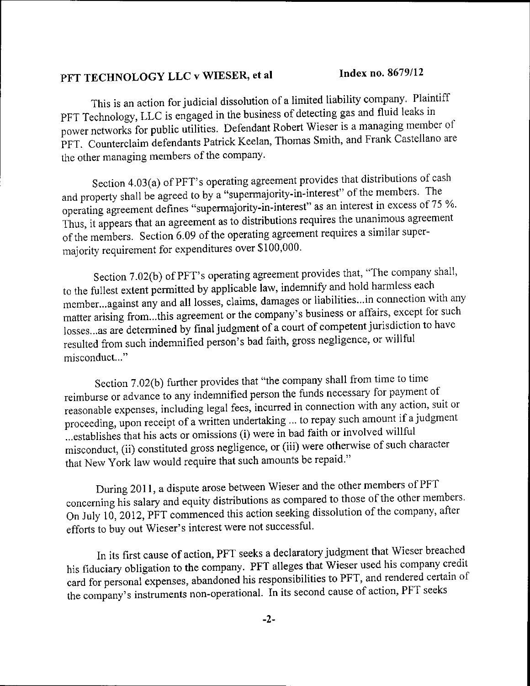#### Index no. 8679/12 PFT TECHNOLOGY LLC v WIESER, et al

This is an action for judicial dissolution of a limited liability company. Plaintiff PFT Technology, LLC is engaged in the business of detecting gas and fluid leaks in power networks for public utilities. Defendant Robert Wieser is a managing member of PFT. Counterclaim defendants Patrick Keelan, Thomas Smith, and Frank Castellano are the other managing members of the company.

Section 4.03(a) of PFT's operating agreement provides that distributions of cash and property shall be agreed to by a "supermajority-in-interest" of the members. The operating agreement defines "supermajority-in-interest" as an interest in excess of 75 %. Thus, it appears that an agreement as to distributions requires the unanimous agreement of the members. Section 6.09 of the operating agreement requires a similar supermajority requirement for expenditures over \$100,000.

Section 7.02(b) of PFT's operating agreement provides that, "The company shall, to the fullest extent permitted by applicable law, indemnify and hold harmless each member...against any and all losses, claims, damages or liabilities...in connection with any matter arising from...this agreement or the company's business or affairs, except for such losses...as are determined by final judgment of a court of competent jurisdiction to have resulted from such indemnified person's bad faith, gross negligence, or willful misconduct..."

Section 7.02(b) further provides that "the company shall from time to time reimburse or advance to any indemnified person the funds necessary for payment of reasonable expenses, including legal fees, incurred in connection with any action, suit or proceeding, upon receipt of a written undertaking ... to repay such amount if a judgment ... establishes that his acts or omissions (i) were in bad faith or involved willful misconduct, (ii) constituted gross negligence, or (iii) were otherwise of such character that New York law would require that such amounts be repaid."

During 2011, a dispute arose between Wieser and the other members of PFT concerning his salary and equity distributions as compared to those of the other members. On July 10, 2012, PFT commenced this action seeking dissolution of the company, after efforts to buy out Wieser's interest were not successful.

In its first cause of action, PFT seeks a declaratory judgment that Wieser breached his fiduciary obligation to the company. PFT alleges that Wieser used his company credit card for personal expenses, abandoned his responsibilities to PFT, and rendered certain of the company's instruments non-operational. In its second cause of action, PFT seeks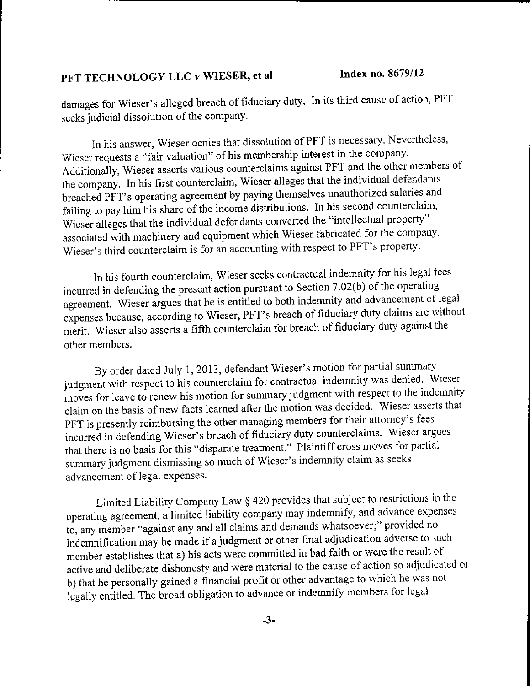## PFT TECHNOLOGY LLC v WIESER, et al Index no. 8679/12

damages for wieser's alleged breach of fiduciary duty. In its third cause of action, PFT seeks judicial dissolution of the company.

In his answer, Wieser denies that dissolution of PFT is necessary. Nevertheless, Wieser requests a "fair valuation" of his membership interest in the company. Additionally, Wieser asserts various counterclaims against PFT and the other members of the company. In his first counterclaim, wieser alleges that the individual defendants breached PFT's operating agreement by paying themselves unauthorized salaries and failing to pay him his share of the income distributions. In his second counterclaim, Wieser alleges that the individual defendants converted the "intellectual property" associated with machinery and equipment which Wieser fabricated for the company. Wieser's third counterclaim is for an accounting with respect to PFT's property.

In his fourth counterclaim, Wieser seeks contractual indernnity for his legal fees incurred in defending the present action pursuant to Section  $7.02(b)$  of the operating agreement. Wieser argues that he is entitled to both indemnity and advancement of legal expenses declining, in the a-fifth counterclaim for breach of fiduciary duty against the expenses because, according to Wieser, PFT's breach of fiduciary duty claims are without other members.

By order dated July 1, 2013, defendant Wieser's motion for partial summary judgment with respect to his counterclaim for contractual indemnity was denied. Wieser moves for leave to renew his motion for summary judgment with respect to the indemnity claim on the basis of new facts learned after the motion was decided. Wieser asserts that pFT is presently reimbursing the other managing members for their attorney's fees incurred in defending Wieser's breach of fiduciary duty counterclaims. Wieser argues that there is no basis for this "disparate treatment." Plaintiff cross moves for partial summary judgment dismissing so much of Wieser's indemnity claim as seeks advancement of legal expenses.

Limited Liability Company Law § 420 provides that subject to restrictions in the operating agreement, a limited liability company may indemnify, and advance expenses to, any member "against any and all claims and demands whatsoever;" provided no indemnification may be made if a judgment of other final adjudication adverse to such member establishes that a) his acts were committed in bad faith or were the result of active and deliberate dishonesty and were material to the cause of action so adjudicated or b) that he personally gained a financial profit or other advantage to which he was not legally entitled. The broad obligation to advance or indemnify members for legal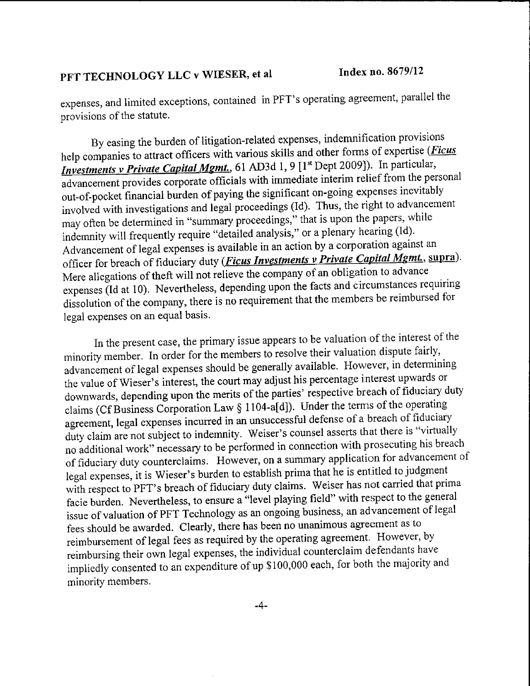# PFT TECHNOLOGY LLC v WIESER, et al

expenses, and limited exceptions, contained in PFT's operating agreement, parallel the provisions of the statute.

By easing the burden of litigation-related expenses, indemnification provisions help companies to attract officers with various skills and other forms of expertise (Ficus Investments v Private Capital Mgmt., 61 AD3d 1, 9 [1<sup>st</sup> Dept 2009]). In particular, advancement provides corporate officials with immediate interim relief from the personal out-of-pocket financial burden of paying the significant on-going expenses inevitably involved with investigations and legal proceedings (Id). Thus, the right to advancement may often be determined in "summary proceedings," that is upon the papers, while indemnity will frequently require "detailed analysis," or a plenary hearing (Id). Advancement of legal expenses is available in an action by a corporation against an officer for breach of fiduciary duty (*Ficus Investments v Private Capital Mgmt.*, supra). Mere allegations of theft will not relieve the company of an obligation to advance expenses (Id at 10). Nevertheless, depending upon the facts and circumstances requiring dissolution of the company, there is no requirement that the members be reimbursed for legal expenses on an equal basis.

In the present case, the primary issue appears to be valuation of the interest of the minority member. In order for the members to resolve their valuation dispute fairly, advancement of legal expenses should be generally available. However, in determining the value of Wieser's interest, the court may adjust his percentage interest upwards or downwards, depending upon the merits of the parties' respective breach of fiduciary duty claims (Cf Business Corporation Law § 1104-a[d]). Under the terms of the operating agreement, legal expenses incurred in an unsuccessful defense of a breach of fiduciary duty claim are not subject to indemnity. Weiser's counsel asserts that there is "virtually no additional work" necessary to be performed in connection with prosecuting his breach of fiduciary duty counterclaims. However, on a summary application for advancement of legal expenses, it is Wieser's burden to establish prima that he is entitled to judgment with respect to PFT's breach of fiduciary duty claims. Weiser has not carried that prima facie burden. Nevertheless, to ensure a "level playing field" with respect to the general issue of valuation of PFT Technology as an ongoing business, an advancement of legal fees should be awarded. Clearly, there has been no unanimous agreement as to reimbursement of legal fees as required by the operating agreement. However, by reimbursing their own legal expenses, the individual counterclaim defendants have impliedly consented to an expenditure of up \$100,000 each, for both the majority and minority members.